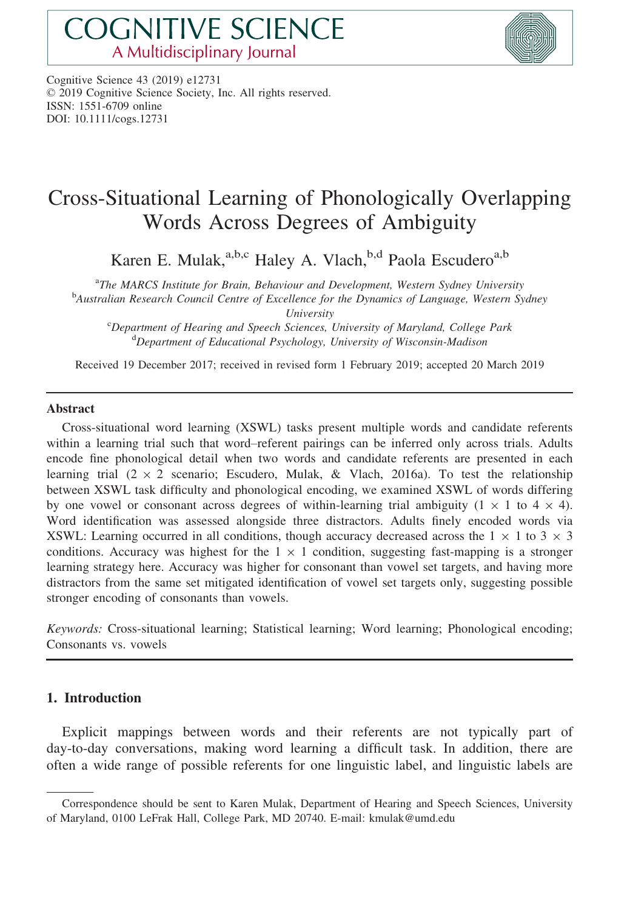# **COGNITIVE SCIENCE** A Multidisciplinary Journal



Cognitive Science 43 (2019) e12731 © 2019 Cognitive Science Society, Inc. All rights reserved. ISSN: 1551-6709 online DOI: 10.1111/cogs.12731

## Cross-Situational Learning of Phonologically Overlapping Words Across Degrees of Ambiguity

Karen E. Mulak,<sup>a,b,c</sup> Haley A. Vlach,<sup>b,d</sup> Paola Escudero<sup>a,b</sup>

<sup>a</sup> The MARCS Institute for Brain, Behaviour and Development, Western Sydney University<br><sup>b</sup>Australian Pesearch Council Centre of Excellence for the Dynamics of Language, Western Sy <sup>b</sup>Australian Research Council Centre of Excellence for the Dynamics of Language, Western Sydney

University<br>Chenartment of Hearing and Sneech Sciences Department of Hearing and Speech Sciences, University of Maryland, College Park<br><sup>d</sup> Department of Educational Psychology, University of Wisconsin Madison Department of Educational Psychology, University of Wisconsin-Madison

Received 19 December 2017; received in revised form 1 February 2019; accepted 20 March 2019

#### Abstract

Cross-situational word learning (XSWL) tasks present multiple words and candidate referents within a learning trial such that word–referent pairings can be inferred only across trials. Adults encode fine phonological detail when two words and candidate referents are presented in each learning trial  $(2 \times 2)$  scenario; Escudero, Mulak, & Vlach, 2016a). To test the relationship between XSWL task difficulty and phonological encoding, we examined XSWL of words differing by one vowel or consonant across degrees of within-learning trial ambiguity  $(1 \times 1$  to  $4 \times 4)$ . Word identification was assessed alongside three distractors. Adults finely encoded words via XSWL: Learning occurred in all conditions, though accuracy decreased across the  $1 \times 1$  to  $3 \times 3$ conditions. Accuracy was highest for the  $1 \times 1$  condition, suggesting fast-mapping is a stronger learning strategy here. Accuracy was higher for consonant than vowel set targets, and having more distractors from the same set mitigated identification of vowel set targets only, suggesting possible stronger encoding of consonants than vowels.

Keywords: Cross-situational learning; Statistical learning; Word learning; Phonological encoding; Consonants vs. vowels

## 1. Introduction

Explicit mappings between words and their referents are not typically part of day-to-day conversations, making word learning a difficult task. In addition, there are often a wide range of possible referents for one linguistic label, and linguistic labels are

Correspondence should be sent to Karen Mulak, Department of Hearing and Speech Sciences, University of Maryland, 0100 LeFrak Hall, College Park, MD 20740. E-mail: [kmulak@umd.edu](mailto:)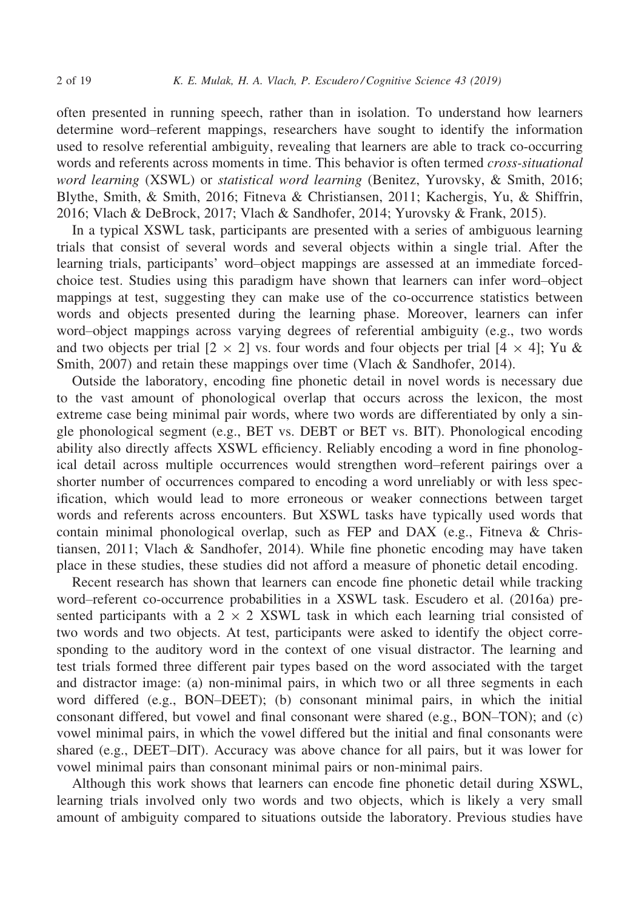often presented in running speech, rather than in isolation. To understand how learners determine word–referent mappings, researchers have sought to identify the information used to resolve referential ambiguity, revealing that learners are able to track co-occurring words and referents across moments in time. This behavior is often termed cross-situational word learning (XSWL) or statistical word learning (Benitez, Yurovsky, & Smith, 2016; Blythe, Smith, & Smith, 2016; Fitneva & Christiansen, 2011; Kachergis, Yu, & Shiffrin, 2016; Vlach & DeBrock, 2017; Vlach & Sandhofer, 2014; Yurovsky & Frank, 2015).

In a typical XSWL task, participants are presented with a series of ambiguous learning trials that consist of several words and several objects within a single trial. After the learning trials, participants' word–object mappings are assessed at an immediate forcedchoice test. Studies using this paradigm have shown that learners can infer word–object mappings at test, suggesting they can make use of the co-occurrence statistics between words and objects presented during the learning phase. Moreover, learners can infer word–object mappings across varying degrees of referential ambiguity (e.g., two words and two objects per trial  $[2 \times 2]$  vs. four words and four objects per trial  $[4 \times 4]$ ; Yu & Smith, 2007) and retain these mappings over time (Vlach & Sandhofer, 2014).

Outside the laboratory, encoding fine phonetic detail in novel words is necessary due to the vast amount of phonological overlap that occurs across the lexicon, the most extreme case being minimal pair words, where two words are differentiated by only a single phonological segment (e.g., BET vs. DEBT or BET vs. BIT). Phonological encoding ability also directly affects XSWL efficiency. Reliably encoding a word in fine phonological detail across multiple occurrences would strengthen word–referent pairings over a shorter number of occurrences compared to encoding a word unreliably or with less specification, which would lead to more erroneous or weaker connections between target words and referents across encounters. But XSWL tasks have typically used words that contain minimal phonological overlap, such as FEP and DAX (e.g., Fitneva & Christiansen, 2011; Vlach & Sandhofer, 2014). While fine phonetic encoding may have taken place in these studies, these studies did not afford a measure of phonetic detail encoding.

Recent research has shown that learners can encode fine phonetic detail while tracking word–referent co-occurrence probabilities in a XSWL task. Escudero et al. (2016a) presented participants with a  $2 \times 2$  XSWL task in which each learning trial consisted of two words and two objects. At test, participants were asked to identify the object corresponding to the auditory word in the context of one visual distractor. The learning and test trials formed three different pair types based on the word associated with the target and distractor image: (a) non-minimal pairs, in which two or all three segments in each word differed (e.g., BON–DEET); (b) consonant minimal pairs, in which the initial consonant differed, but vowel and final consonant were shared (e.g., BON–TON); and (c) vowel minimal pairs, in which the vowel differed but the initial and final consonants were shared (e.g., DEET–DIT). Accuracy was above chance for all pairs, but it was lower for vowel minimal pairs than consonant minimal pairs or non-minimal pairs.

Although this work shows that learners can encode fine phonetic detail during XSWL, learning trials involved only two words and two objects, which is likely a very small amount of ambiguity compared to situations outside the laboratory. Previous studies have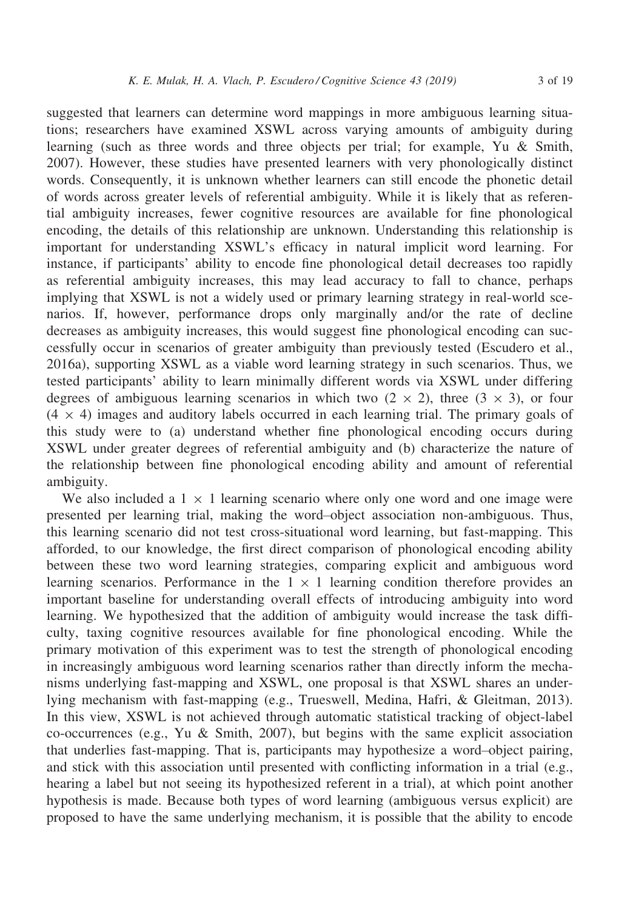suggested that learners can determine word mappings in more ambiguous learning situations; researchers have examined XSWL across varying amounts of ambiguity during learning (such as three words and three objects per trial; for example, Yu & Smith, 2007). However, these studies have presented learners with very phonologically distinct words. Consequently, it is unknown whether learners can still encode the phonetic detail of words across greater levels of referential ambiguity. While it is likely that as referential ambiguity increases, fewer cognitive resources are available for fine phonological encoding, the details of this relationship are unknown. Understanding this relationship is important for understanding XSWL's efficacy in natural implicit word learning. For instance, if participants' ability to encode fine phonological detail decreases too rapidly as referential ambiguity increases, this may lead accuracy to fall to chance, perhaps implying that XSWL is not a widely used or primary learning strategy in real-world scenarios. If, however, performance drops only marginally and/or the rate of decline decreases as ambiguity increases, this would suggest fine phonological encoding can successfully occur in scenarios of greater ambiguity than previously tested (Escudero et al., 2016a), supporting XSWL as a viable word learning strategy in such scenarios. Thus, we tested participants' ability to learn minimally different words via XSWL under differing degrees of ambiguous learning scenarios in which two  $(2 \times 2)$ , three  $(3 \times 3)$ , or four  $(4 \times 4)$  images and auditory labels occurred in each learning trial. The primary goals of this study were to (a) understand whether fine phonological encoding occurs during XSWL under greater degrees of referential ambiguity and (b) characterize the nature of the relationship between fine phonological encoding ability and amount of referential ambiguity.

We also included a  $1 \times 1$  learning scenario where only one word and one image were presented per learning trial, making the word–object association non-ambiguous. Thus, this learning scenario did not test cross-situational word learning, but fast-mapping. This afforded, to our knowledge, the first direct comparison of phonological encoding ability between these two word learning strategies, comparing explicit and ambiguous word learning scenarios. Performance in the  $1 \times 1$  learning condition therefore provides an important baseline for understanding overall effects of introducing ambiguity into word learning. We hypothesized that the addition of ambiguity would increase the task difficulty, taxing cognitive resources available for fine phonological encoding. While the primary motivation of this experiment was to test the strength of phonological encoding in increasingly ambiguous word learning scenarios rather than directly inform the mechanisms underlying fast-mapping and XSWL, one proposal is that XSWL shares an underlying mechanism with fast-mapping (e.g., Trueswell, Medina, Hafri, & Gleitman, 2013). In this view, XSWL is not achieved through automatic statistical tracking of object-label co-occurrences (e.g., Yu & Smith, 2007), but begins with the same explicit association that underlies fast-mapping. That is, participants may hypothesize a word–object pairing, and stick with this association until presented with conflicting information in a trial (e.g., hearing a label but not seeing its hypothesized referent in a trial), at which point another hypothesis is made. Because both types of word learning (ambiguous versus explicit) are proposed to have the same underlying mechanism, it is possible that the ability to encode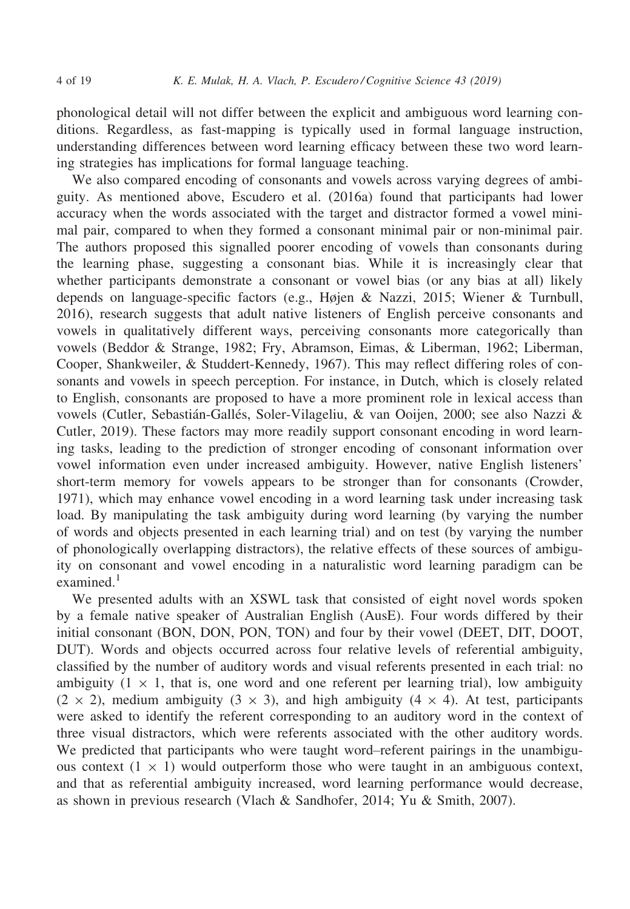phonological detail will not differ between the explicit and ambiguous word learning conditions. Regardless, as fast-mapping is typically used in formal language instruction, understanding differences between word learning efficacy between these two word learning strategies has implications for formal language teaching.

We also compared encoding of consonants and vowels across varying degrees of ambiguity. As mentioned above, Escudero et al. (2016a) found that participants had lower accuracy when the words associated with the target and distractor formed a vowel minimal pair, compared to when they formed a consonant minimal pair or non-minimal pair. The authors proposed this signalled poorer encoding of vowels than consonants during the learning phase, suggesting a consonant bias. While it is increasingly clear that whether participants demonstrate a consonant or vowel bias (or any bias at all) likely depends on language-specific factors (e.g., Højen & Nazzi, 2015; Wiener & Turnbull, 2016), research suggests that adult native listeners of English perceive consonants and vowels in qualitatively different ways, perceiving consonants more categorically than vowels (Beddor & Strange, 1982; Fry, Abramson, Eimas, & Liberman, 1962; Liberman, Cooper, Shankweiler, & Studdert-Kennedy, 1967). This may reflect differing roles of consonants and vowels in speech perception. For instance, in Dutch, which is closely related to English, consonants are proposed to have a more prominent role in lexical access than vowels (Cutler, Sebastian-Galles, Soler-Vilageliu, & van Ooijen, 2000; see also Nazzi & Cutler, 2019). These factors may more readily support consonant encoding in word learning tasks, leading to the prediction of stronger encoding of consonant information over vowel information even under increased ambiguity. However, native English listeners' short-term memory for vowels appears to be stronger than for consonants (Crowder, 1971), which may enhance vowel encoding in a word learning task under increasing task load. By manipulating the task ambiguity during word learning (by varying the number of words and objects presented in each learning trial) and on test (by varying the number of phonologically overlapping distractors), the relative effects of these sources of ambiguity on consonant and vowel encoding in a naturalistic word learning paradigm can be examined $1$ 

We presented adults with an XSWL task that consisted of eight novel words spoken by a female native speaker of Australian English (AusE). Four words differed by their initial consonant (BON, DON, PON, TON) and four by their vowel (DEET, DIT, DOOT, DUT). Words and objects occurred across four relative levels of referential ambiguity, classified by the number of auditory words and visual referents presented in each trial: no ambiguity  $(1 \times 1$ , that is, one word and one referent per learning trial), low ambiguity  $(2 \times 2)$ , medium ambiguity  $(3 \times 3)$ , and high ambiguity  $(4 \times 4)$ . At test, participants were asked to identify the referent corresponding to an auditory word in the context of three visual distractors, which were referents associated with the other auditory words. We predicted that participants who were taught word–referent pairings in the unambiguous context  $(1 \times 1)$  would outperform those who were taught in an ambiguous context, and that as referential ambiguity increased, word learning performance would decrease, as shown in previous research (Vlach & Sandhofer, 2014; Yu & Smith, 2007).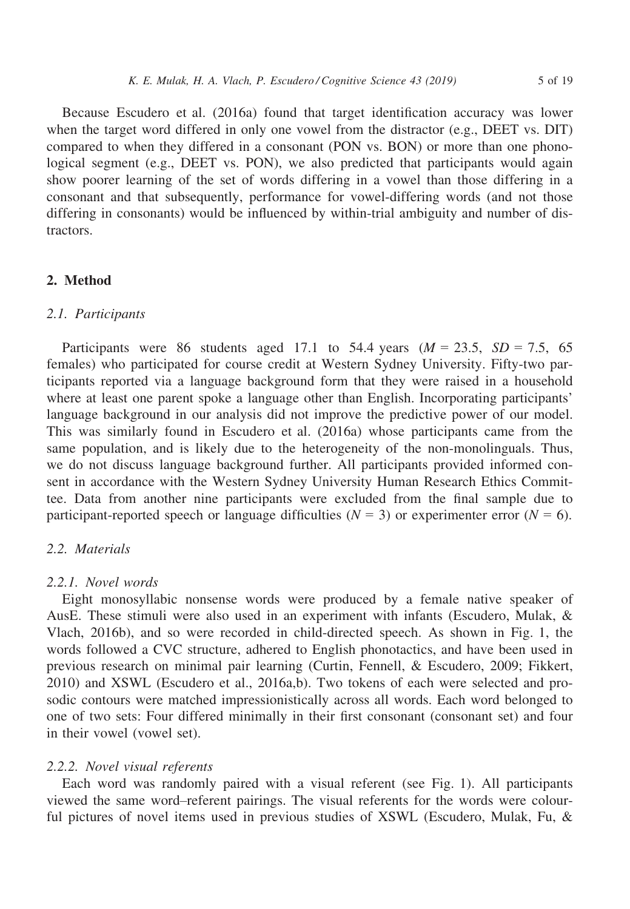Because Escudero et al. (2016a) found that target identification accuracy was lower when the target word differed in only one vowel from the distractor (e.g., DEET vs. DIT) compared to when they differed in a consonant (PON vs. BON) or more than one phonological segment (e.g., DEET vs. PON), we also predicted that participants would again show poorer learning of the set of words differing in a vowel than those differing in a consonant and that subsequently, performance for vowel-differing words (and not those differing in consonants) would be influenced by within-trial ambiguity and number of distractors.

## 2. Method

#### 2.1. Participants

Participants were 86 students aged 17.1 to 54.4 years  $(M = 23.5, SD = 7.5, 65$ females) who participated for course credit at Western Sydney University. Fifty-two participants reported via a language background form that they were raised in a household where at least one parent spoke a language other than English. Incorporating participants' language background in our analysis did not improve the predictive power of our model. This was similarly found in Escudero et al. (2016a) whose participants came from the same population, and is likely due to the heterogeneity of the non-monolinguals. Thus, we do not discuss language background further. All participants provided informed consent in accordance with the Western Sydney University Human Research Ethics Committee. Data from another nine participants were excluded from the final sample due to participant-reported speech or language difficulties ( $N = 3$ ) or experimenter error ( $N = 6$ ).

#### 2.2. Materials

#### 2.2.1. Novel words

Eight monosyllabic nonsense words were produced by a female native speaker of AusE. These stimuli were also used in an experiment with infants (Escudero, Mulak, & Vlach, 2016b), and so were recorded in child-directed speech. As shown in Fig. 1, the words followed a CVC structure, adhered to English phonotactics, and have been used in previous research on minimal pair learning (Curtin, Fennell, & Escudero, 2009; Fikkert, 2010) and XSWL (Escudero et al., 2016a,b). Two tokens of each were selected and prosodic contours were matched impressionistically across all words. Each word belonged to one of two sets: Four differed minimally in their first consonant (consonant set) and four in their vowel (vowel set).

#### 2.2.2. Novel visual referents

Each word was randomly paired with a visual referent (see Fig. 1). All participants viewed the same word–referent pairings. The visual referents for the words were colourful pictures of novel items used in previous studies of XSWL (Escudero, Mulak, Fu, &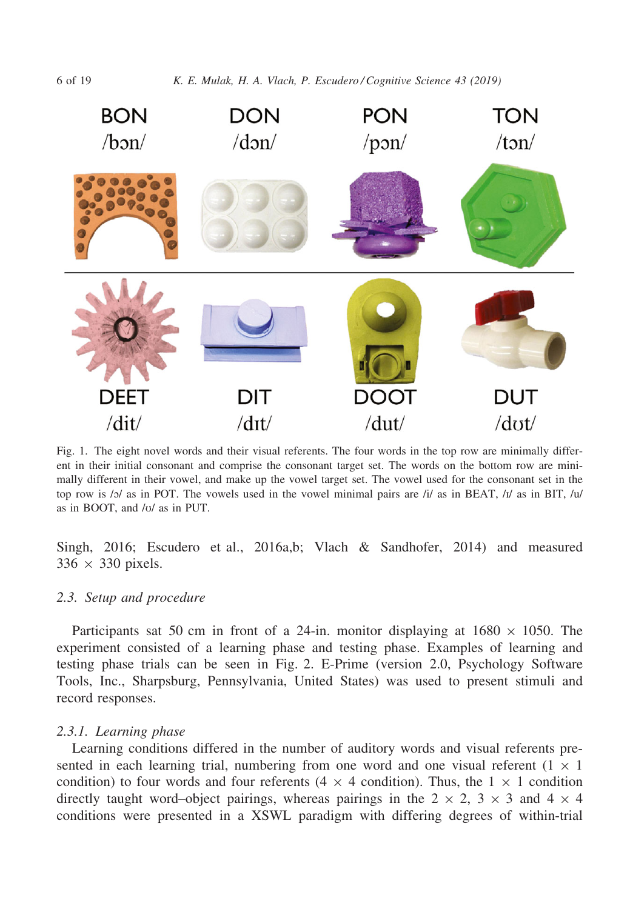6 of 19 K. E. Mulak, H. A. Vlach, P. Escudero / Cognitive Science 43 (2019)



Fig. 1. The eight novel words and their visual referents. The four words in the top row are minimally different in their initial consonant and comprise the consonant target set. The words on the bottom row are minimally different in their vowel, and make up the vowel target set. The vowel used for the consonant set in the top row is  $/5/$  as in POT. The vowels used in the vowel minimal pairs are  $/1/$  as in BEAT,  $/1/$  as in BIT,  $/1/$ as in BOOT, and /ʊ/ as in PUT.

Singh, 2016; Escudero et al., 2016a,b; Vlach & Sandhofer, 2014) and measured  $336 \times 330$  pixels.

## 2.3. Setup and procedure

Participants sat 50 cm in front of a 24-in. monitor displaying at  $1680 \times 1050$ . The experiment consisted of a learning phase and testing phase. Examples of learning and testing phase trials can be seen in Fig. 2. E-Prime (version 2.0, Psychology Software Tools, Inc., Sharpsburg, Pennsylvania, United States) was used to present stimuli and record responses.

#### 2.3.1. Learning phase

Learning conditions differed in the number of auditory words and visual referents presented in each learning trial, numbering from one word and one visual referent  $(1 \times 1)$ condition) to four words and four referents (4  $\times$  4 condition). Thus, the 1  $\times$  1 condition directly taught word–object pairings, whereas pairings in the  $2 \times 2$ ,  $3 \times 3$  and  $4 \times 4$ conditions were presented in a XSWL paradigm with differing degrees of within-trial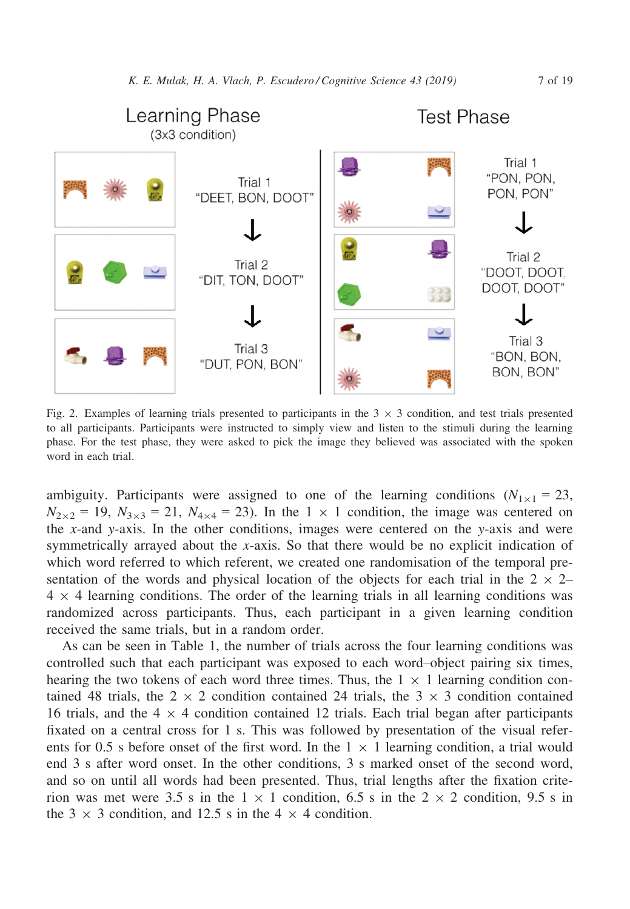

Fig. 2. Examples of learning trials presented to participants in the  $3 \times 3$  condition, and test trials presented to all participants. Participants were instructed to simply view and listen to the stimuli during the learning phase. For the test phase, they were asked to pick the image they believed was associated with the spoken word in each trial.

ambiguity. Participants were assigned to one of the learning conditions  $(N_{1\times1} = 23,$  $N_{2\times2}$  = 19,  $N_{3\times3}$  = 21,  $N_{4\times4}$  = 23). In the 1  $\times$  1 condition, the image was centered on the x-and y-axis. In the other conditions, images were centered on the y-axis and were symmetrically arrayed about the x-axis. So that there would be no explicit indication of which word referred to which referent, we created one randomisation of the temporal presentation of the words and physical location of the objects for each trial in the  $2 \times 2$ –  $4 \times 4$  learning conditions. The order of the learning trials in all learning conditions was randomized across participants. Thus, each participant in a given learning condition received the same trials, but in a random order.

As can be seen in Table 1, the number of trials across the four learning conditions was controlled such that each participant was exposed to each word–object pairing six times, hearing the two tokens of each word three times. Thus, the  $1 \times 1$  learning condition contained 48 trials, the  $2 \times 2$  condition contained 24 trials, the  $3 \times 3$  condition contained 16 trials, and the  $4 \times 4$  condition contained 12 trials. Each trial began after participants fixated on a central cross for 1 s. This was followed by presentation of the visual referents for 0.5 s before onset of the first word. In the  $1 \times 1$  learning condition, a trial would end 3 s after word onset. In the other conditions, 3 s marked onset of the second word, and so on until all words had been presented. Thus, trial lengths after the fixation criterion was met were 3.5 s in the  $1 \times 1$  condition, 6.5 s in the  $2 \times 2$  condition, 9.5 s in the 3  $\times$  3 condition, and 12.5 s in the 4  $\times$  4 condition.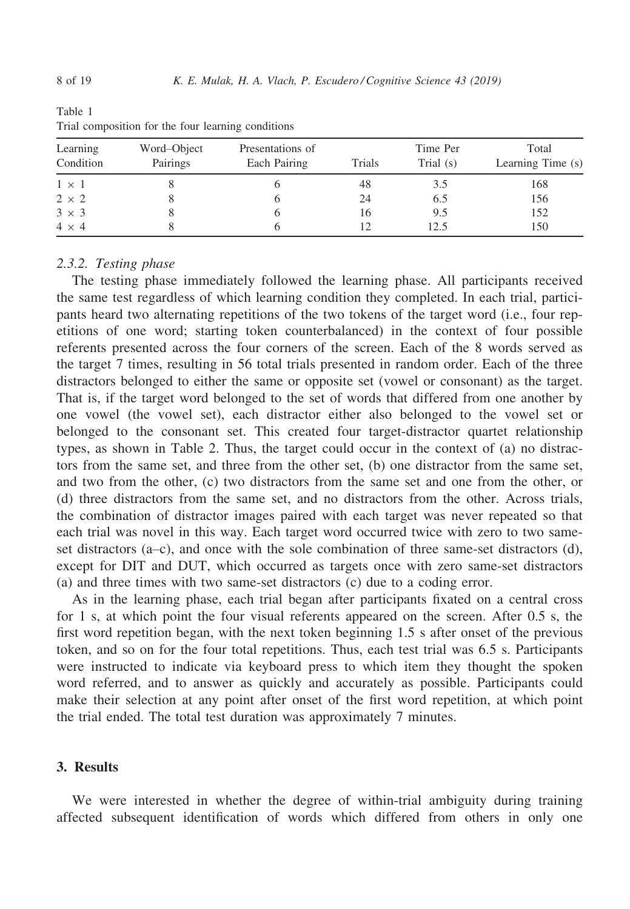| Learning<br>Condition | Word–Object<br>Pairings | Presentations of<br>Each Pairing | Trials | Time Per<br>Trial (s) | Total<br>Learning Time (s) |
|-----------------------|-------------------------|----------------------------------|--------|-----------------------|----------------------------|
| $1 \times 1$          |                         |                                  | 48     | 3.5                   | 168                        |
| $2 \times 2$          |                         |                                  | 24     | 6.5                   | 156                        |
| $3 \times 3$          |                         |                                  | 16     | 9.5                   | 152                        |
| $4 \times 4$          |                         |                                  |        | 12.5                  | 150                        |

Table 1 Trial composition for the four learning conditions

#### 2.3.2. Testing phase

The testing phase immediately followed the learning phase. All participants received the same test regardless of which learning condition they completed. In each trial, participants heard two alternating repetitions of the two tokens of the target word (i.e., four repetitions of one word; starting token counterbalanced) in the context of four possible referents presented across the four corners of the screen. Each of the 8 words served as the target 7 times, resulting in 56 total trials presented in random order. Each of the three distractors belonged to either the same or opposite set (vowel or consonant) as the target. That is, if the target word belonged to the set of words that differed from one another by one vowel (the vowel set), each distractor either also belonged to the vowel set or belonged to the consonant set. This created four target-distractor quartet relationship types, as shown in Table 2. Thus, the target could occur in the context of (a) no distractors from the same set, and three from the other set, (b) one distractor from the same set, and two from the other, (c) two distractors from the same set and one from the other, or (d) three distractors from the same set, and no distractors from the other. Across trials, the combination of distractor images paired with each target was never repeated so that each trial was novel in this way. Each target word occurred twice with zero to two sameset distractors  $(a-c)$ , and once with the sole combination of three same-set distractors  $(d)$ , except for DIT and DUT, which occurred as targets once with zero same-set distractors (a) and three times with two same-set distractors (c) due to a coding error.

As in the learning phase, each trial began after participants fixated on a central cross for 1 s, at which point the four visual referents appeared on the screen. After 0.5 s, the first word repetition began, with the next token beginning 1.5 s after onset of the previous token, and so on for the four total repetitions. Thus, each test trial was 6.5 s. Participants were instructed to indicate via keyboard press to which item they thought the spoken word referred, and to answer as quickly and accurately as possible. Participants could make their selection at any point after onset of the first word repetition, at which point the trial ended. The total test duration was approximately 7 minutes.

#### 3. Results

We were interested in whether the degree of within-trial ambiguity during training affected subsequent identification of words which differed from others in only one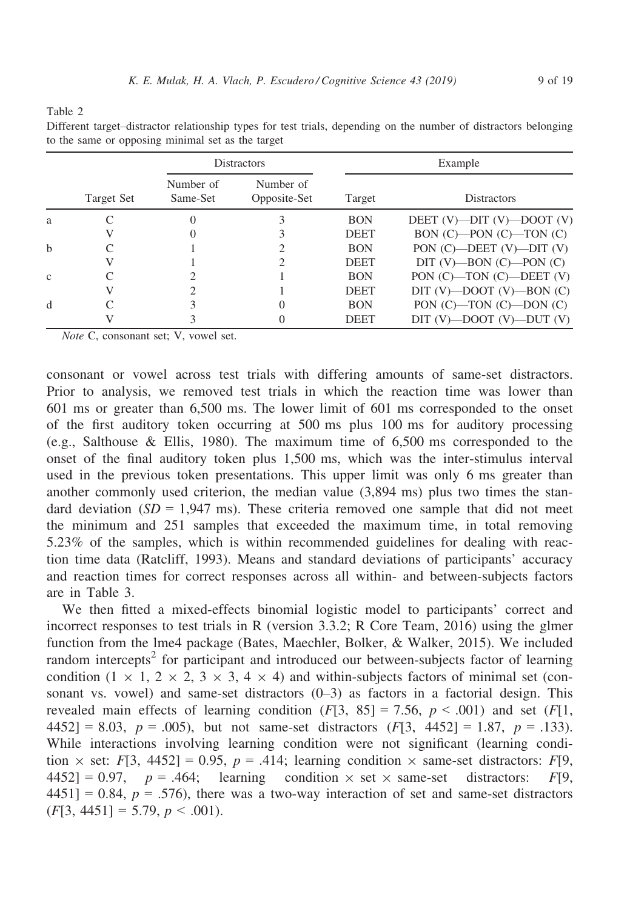Table 2

Different target–distractor relationship types for test trials, depending on the number of distractors belonging to the same or opposing minimal set as the target

|              |            |                       | <b>Distractors</b>        | Example     |                                   |  |  |
|--------------|------------|-----------------------|---------------------------|-------------|-----------------------------------|--|--|
|              | Target Set | Number of<br>Same-Set | Number of<br>Opposite-Set | Target      | <b>Distractors</b>                |  |  |
| a            |            |                       |                           | <b>BON</b>  | DEET $(V)$ —DIT $(V)$ —DOOT $(V)$ |  |  |
|              |            |                       |                           | <b>DEET</b> | $BON$ (C)—PON (C)—TON (C)         |  |  |
| $\mathbf b$  |            |                       |                           | <b>BON</b>  | PON $(C)$ —DEET $(V)$ —DIT $(V)$  |  |  |
|              |            |                       |                           | <b>DEET</b> | DIT (V)—BON $(C)$ —PON $(C)$      |  |  |
| $\mathbf{c}$ |            |                       |                           | <b>BON</b>  | PON $(C)$ —TON $(C)$ —DEET $(V)$  |  |  |
|              |            |                       |                           | <b>DEET</b> | DIT (V)-DOOT (V)-BON $(C)$        |  |  |
| d            |            |                       |                           | <b>BON</b>  | PON $(C)$ —TON $(C)$ —DON $(C)$   |  |  |
|              |            |                       |                           | <b>DEET</b> | DIT (V)-DOOT (V)-DUT (V)          |  |  |
|              |            |                       |                           |             |                                   |  |  |

Note C, consonant set; V, vowel set.

consonant or vowel across test trials with differing amounts of same-set distractors. Prior to analysis, we removed test trials in which the reaction time was lower than 601 ms or greater than 6,500 ms. The lower limit of 601 ms corresponded to the onset of the first auditory token occurring at 500 ms plus 100 ms for auditory processing (e.g., Salthouse & Ellis, 1980). The maximum time of 6,500 ms corresponded to the onset of the final auditory token plus 1,500 ms, which was the inter-stimulus interval used in the previous token presentations. This upper limit was only 6 ms greater than another commonly used criterion, the median value (3,894 ms) plus two times the standard deviation ( $SD = 1,947$  ms). These criteria removed one sample that did not meet the minimum and 251 samples that exceeded the maximum time, in total removing 5.23% of the samples, which is within recommended guidelines for dealing with reaction time data (Ratcliff, 1993). Means and standard deviations of participants' accuracy and reaction times for correct responses across all within- and between-subjects factors are in Table 3.

We then fitted a mixed-effects binomial logistic model to participants' correct and incorrect responses to test trials in R (version 3.3.2; R Core Team, 2016) using the glmer function from the lme4 package (Bates, Maechler, Bolker, & Walker, 2015). We included random intercepts<sup>2</sup> for participant and introduced our between-subjects factor of learning condition  $(1 \times 1, 2 \times 2, 3 \times 3, 4 \times 4)$  and within-subjects factors of minimal set (consonant vs. vowel) and same-set distractors  $(0-3)$  as factors in a factorial design. This revealed main effects of learning condition  $(F[3, 85] = 7.56, p < .001)$  and set  $(F[1,$  $4452$ ] = 8.03, p = .005), but not same-set distractors (F[3, 4452] = 1.87, p = .133). While interactions involving learning condition were not significant (learning condition  $\times$  set: F[3, 4452] = 0.95, p = .414; learning condition  $\times$  same-set distractors: F[9,  $4452$ ] = 0.97, p = .464; learning condition  $\times$  set  $\times$  same-set distractors: F[9,  $4451$ ] = 0.84,  $p = .576$ ), there was a two-way interaction of set and same-set distractors  $(F[3, 4451] = 5.79, p < .001)$ .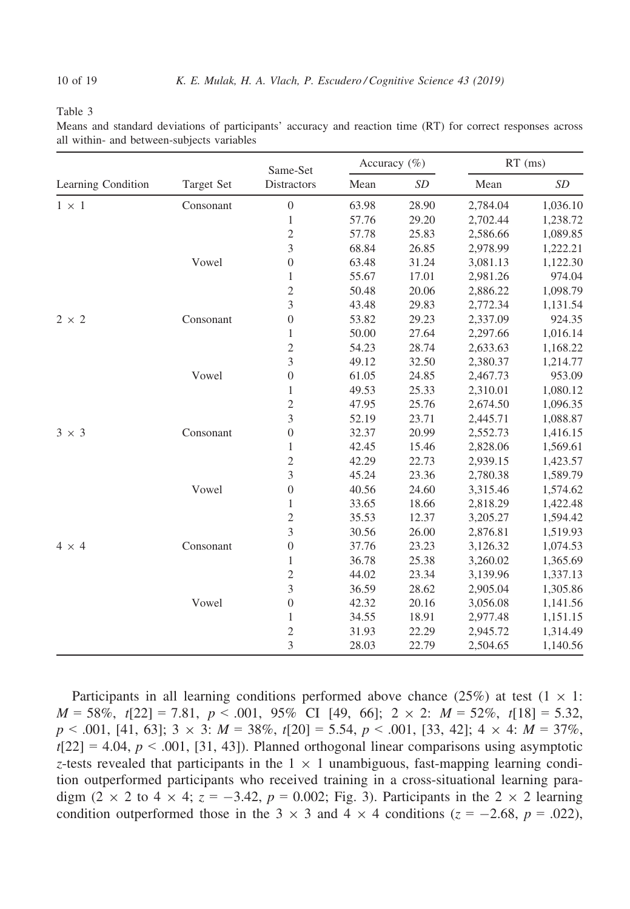Table 3

|  |                                            | Means and standard deviations of participants' accuracy and reaction time (RT) for correct responses across |  |  |  |  |  |
|--|--------------------------------------------|-------------------------------------------------------------------------------------------------------------|--|--|--|--|--|
|  | all within- and between-subjects variables |                                                                                                             |  |  |  |  |  |

|                    |                   | Same-Set         |       | Accuracy $(\% )$ | $RT$ (ms) |          |  |
|--------------------|-------------------|------------------|-------|------------------|-----------|----------|--|
| Learning Condition | <b>Target Set</b> | Distractors      | Mean  | SD               | Mean      | SD       |  |
| $1 \times 1$       | Consonant         | $\boldsymbol{0}$ | 63.98 | 28.90            | 2,784.04  | 1,036.10 |  |
|                    |                   | $\mathbf{1}$     | 57.76 | 29.20            | 2,702.44  | 1,238.72 |  |
|                    |                   | $\overline{c}$   | 57.78 | 25.83            | 2,586.66  | 1,089.85 |  |
|                    |                   | 3                | 68.84 | 26.85            | 2,978.99  | 1,222.21 |  |
|                    | Vowel             | $\boldsymbol{0}$ | 63.48 | 31.24            | 3,081.13  | 1,122.30 |  |
|                    |                   | 1                | 55.67 | 17.01            | 2,981.26  | 974.04   |  |
|                    |                   | $\mathfrak{2}$   | 50.48 | 20.06            | 2,886.22  | 1,098.79 |  |
|                    |                   | 3                | 43.48 | 29.83            | 2,772.34  | 1,131.54 |  |
| $2 \times 2$       | Consonant         | $\overline{0}$   | 53.82 | 29.23            | 2,337.09  | 924.35   |  |
|                    |                   | $\mathbf{1}$     | 50.00 | 27.64            | 2,297.66  | 1,016.14 |  |
|                    |                   | $\sqrt{2}$       | 54.23 | 28.74            | 2,633.63  | 1,168.22 |  |
|                    |                   | 3                | 49.12 | 32.50            | 2,380.37  | 1,214.77 |  |
|                    | Vowel             | $\overline{0}$   | 61.05 | 24.85            | 2,467.73  | 953.09   |  |
|                    |                   | 1                | 49.53 | 25.33            | 2,310.01  | 1,080.12 |  |
|                    |                   | $\overline{2}$   | 47.95 | 25.76            | 2,674.50  | 1,096.35 |  |
|                    |                   | 3                | 52.19 | 23.71            | 2,445.71  | 1,088.87 |  |
| $3 \times 3$       | Consonant         | $\overline{0}$   | 32.37 | 20.99            | 2,552.73  | 1,416.15 |  |
|                    |                   | $\mathbf{1}$     | 42.45 | 15.46            | 2,828.06  | 1,569.61 |  |
|                    |                   | $\overline{2}$   | 42.29 | 22.73            | 2,939.15  | 1,423.57 |  |
|                    |                   | 3                | 45.24 | 23.36            | 2,780.38  | 1,589.79 |  |
|                    | Vowel             | $\overline{0}$   | 40.56 | 24.60            | 3,315.46  | 1,574.62 |  |
|                    |                   | 1                | 33.65 | 18.66            | 2,818.29  | 1,422.48 |  |
|                    |                   | $\overline{2}$   | 35.53 | 12.37            | 3,205.27  | 1,594.42 |  |
|                    |                   | 3                | 30.56 | 26.00            | 2,876.81  | 1,519.93 |  |
| $4 \times 4$       | Consonant         | $\mathbf{0}$     | 37.76 | 23.23            | 3,126.32  | 1,074.53 |  |
|                    |                   | 1                | 36.78 | 25.38            | 3,260.02  | 1,365.69 |  |
|                    |                   | $\mathfrak{2}$   | 44.02 | 23.34            | 3,139.96  | 1,337.13 |  |
|                    |                   | 3                | 36.59 | 28.62            | 2,905.04  | 1,305.86 |  |
|                    | Vowel             | $\boldsymbol{0}$ | 42.32 | 20.16            | 3,056.08  | 1,141.56 |  |
|                    |                   | $\mathbf{1}$     | 34.55 | 18.91            | 2,977.48  | 1,151.15 |  |
|                    |                   | $\overline{2}$   | 31.93 | 22.29            | 2,945.72  | 1,314.49 |  |
|                    |                   | 3                | 28.03 | 22.79            | 2,504.65  | 1,140.56 |  |

Participants in all learning conditions performed above chance  $(25%)$  at test  $(1 \times 1)$ :  $M = 58\%, t[22] = 7.81, p < .001, 95\%$  CI [49, 66];  $2 \times 2$ :  $M = 52\%, t[18] = 5.32,$  $p < .001, [41, 63]; 3 \times 3: M = 38\%, t[20] = 5.54, p < .001, [33, 42]; 4 \times 4: M = 37\%,$  $t[22] = 4.04$ ,  $p < .001$ , [31, 43]). Planned orthogonal linear comparisons using asymptotic z-tests revealed that participants in the  $1 \times 1$  unambiguous, fast-mapping learning condition outperformed participants who received training in a cross-situational learning paradigm (2  $\times$  2 to 4  $\times$  4;  $z = -3.42$ ,  $p = 0.002$ ; Fig. 3). Participants in the 2  $\times$  2 learning condition outperformed those in the 3  $\times$  3 and 4  $\times$  4 conditions (z = -2.68, p = .022),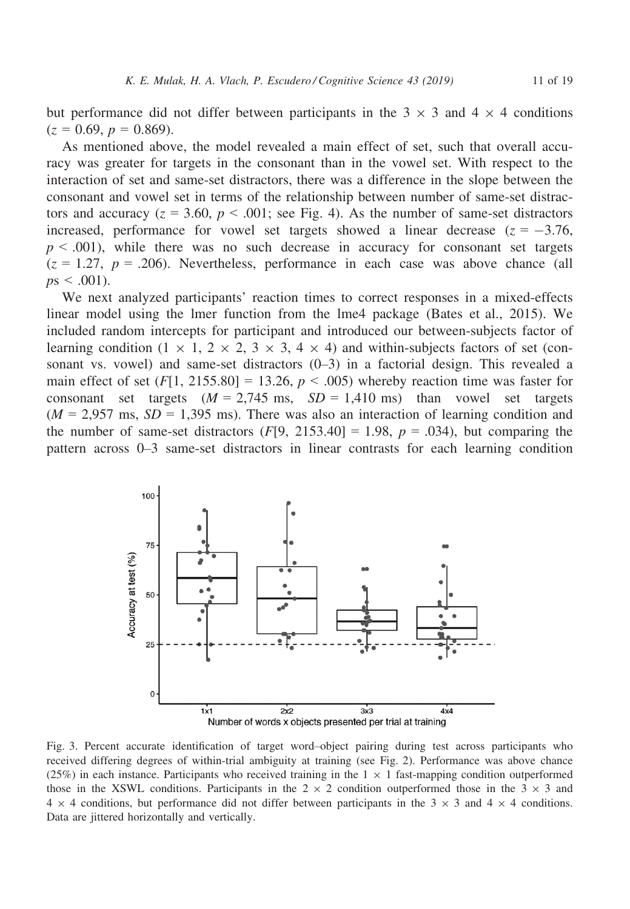but performance did not differ between participants in the  $3 \times 3$  and  $4 \times 4$  conditions  $(z = 0.69, p = 0.869).$ 

As mentioned above, the model revealed a main effect of set, such that overall accuracy was greater for targets in the consonant than in the vowel set. With respect to the interaction of set and same-set distractors, there was a difference in the slope between the consonant and vowel set in terms of the relationship between number of same-set distractors and accuracy ( $z = 3.60$ ,  $p < .001$ ; see Fig. 4). As the number of same-set distractors increased, performance for vowel set targets showed a linear decrease  $(z = -3.76,$  $p \leq 0.001$ , while there was no such decrease in accuracy for consonant set targets  $(z = 1.27, p = .206)$ . Nevertheless, performance in each case was above chance (all  $ps < .001$ ).

We next analyzed participants' reaction times to correct responses in a mixed-effects linear model using the lmer function from the lme4 package (Bates et al., 2015). We included random intercepts for participant and introduced our between-subjects factor of learning condition  $(1 \times 1, 2 \times 2, 3 \times 3, 4 \times 4)$  and within-subjects factors of set (consonant vs. vowel) and same-set distractors (0–3) in a factorial design. This revealed a main effect of set  $(F[1, 2155.80] = 13.26, p < .005)$  whereby reaction time was faster for consonant set targets  $(M = 2.745 \text{ ms}, SD = 1.410 \text{ ms})$  than vowel set targets  $(M = 2.957 \text{ ms}, SD = 1.395 \text{ ms})$ . There was also an interaction of learning condition and the number of same-set distractors  $(F[9, 2153.40] = 1.98$ ,  $p = .034$ ), but comparing the pattern across 0–3 same-set distractors in linear contrasts for each learning condition



Fig. 3. Percent accurate identification of target word–object pairing during test across participants who received differing degrees of within-trial ambiguity at training (see Fig. 2). Performance was above chance (25%) in each instance. Participants who received training in the  $1 \times 1$  fast-mapping condition outperformed those in the XSWL conditions. Participants in the  $2 \times 2$  condition outperformed those in the  $3 \times 3$  and  $4 \times 4$  conditions, but performance did not differ between participants in the 3  $\times$  3 and 4  $\times$  4 conditions. Data are jittered horizontally and vertically.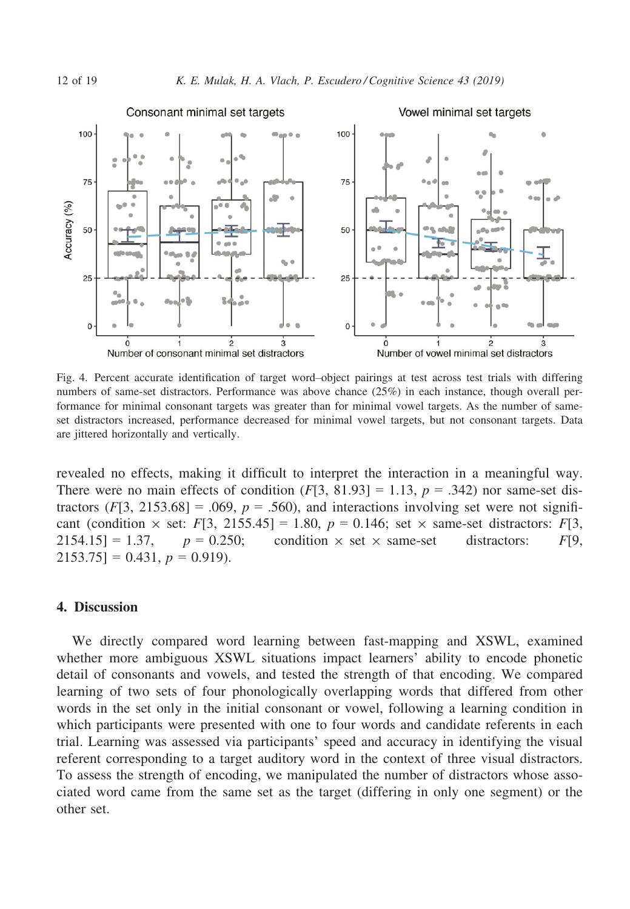

Fig. 4. Percent accurate identification of target word–object pairings at test across test trials with differing numbers of same-set distractors. Performance was above chance (25%) in each instance, though overall performance for minimal consonant targets was greater than for minimal vowel targets. As the number of sameset distractors increased, performance decreased for minimal vowel targets, but not consonant targets. Data are jittered horizontally and vertically.

revealed no effects, making it difficult to interpret the interaction in a meaningful way. There were no main effects of condition  $(F[3, 81.93] = 1.13, p = .342)$  nor same-set distractors ( $F[3, 2153.68] = .069$ ,  $p = .560$ ), and interactions involving set were not significant (condition  $\times$  set: F[3, 2155.45] = 1.80, p = 0.146; set  $\times$  same-set distractors: F[3,  $2154.15$ ] = 1.37,  $p = 0.250$ ; condition  $\times$  set  $\times$  same-set distractors: F[9,  $2153.75$ ] = 0.431,  $p = 0.919$ ).

## 4. Discussion

We directly compared word learning between fast-mapping and XSWL, examined whether more ambiguous XSWL situations impact learners' ability to encode phonetic detail of consonants and vowels, and tested the strength of that encoding. We compared learning of two sets of four phonologically overlapping words that differed from other words in the set only in the initial consonant or vowel, following a learning condition in which participants were presented with one to four words and candidate referents in each trial. Learning was assessed via participants' speed and accuracy in identifying the visual referent corresponding to a target auditory word in the context of three visual distractors. To assess the strength of encoding, we manipulated the number of distractors whose associated word came from the same set as the target (differing in only one segment) or the other set.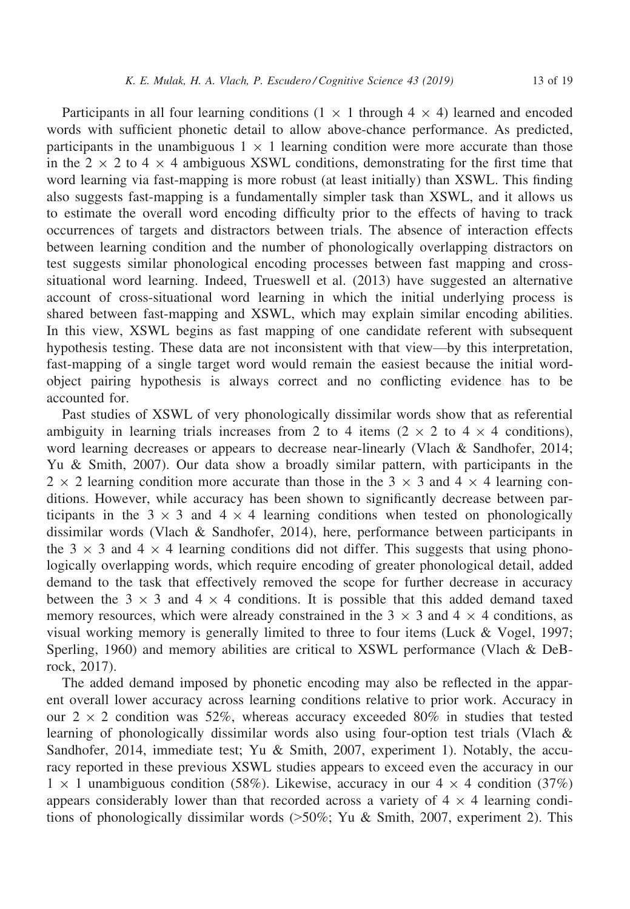Participants in all four learning conditions (1  $\times$  1 through 4  $\times$  4) learned and encoded words with sufficient phonetic detail to allow above-chance performance. As predicted, participants in the unambiguous  $1 \times 1$  learning condition were more accurate than those in the 2  $\times$  2 to 4  $\times$  4 ambiguous XSWL conditions, demonstrating for the first time that word learning via fast-mapping is more robust (at least initially) than XSWL. This finding also suggests fast-mapping is a fundamentally simpler task than XSWL, and it allows us to estimate the overall word encoding difficulty prior to the effects of having to track occurrences of targets and distractors between trials. The absence of interaction effects between learning condition and the number of phonologically overlapping distractors on test suggests similar phonological encoding processes between fast mapping and crosssituational word learning. Indeed, Trueswell et al. (2013) have suggested an alternative account of cross-situational word learning in which the initial underlying process is shared between fast-mapping and XSWL, which may explain similar encoding abilities. In this view, XSWL begins as fast mapping of one candidate referent with subsequent hypothesis testing. These data are not inconsistent with that view—by this interpretation, fast-mapping of a single target word would remain the easiest because the initial wordobject pairing hypothesis is always correct and no conflicting evidence has to be accounted for.

Past studies of XSWL of very phonologically dissimilar words show that as referential ambiguity in learning trials increases from 2 to 4 items ( $2 \times 2$  to  $4 \times 4$  conditions), word learning decreases or appears to decrease near-linearly (Vlach & Sandhofer, 2014; Yu & Smith, 2007). Our data show a broadly similar pattern, with participants in the  $2 \times 2$  learning condition more accurate than those in the 3  $\times$  3 and 4  $\times$  4 learning conditions. However, while accuracy has been shown to significantly decrease between participants in the  $3 \times 3$  and  $4 \times 4$  learning conditions when tested on phonologically dissimilar words (Vlach & Sandhofer, 2014), here, performance between participants in the 3  $\times$  3 and 4  $\times$  4 learning conditions did not differ. This suggests that using phonologically overlapping words, which require encoding of greater phonological detail, added demand to the task that effectively removed the scope for further decrease in accuracy between the  $3 \times 3$  and  $4 \times 4$  conditions. It is possible that this added demand taxed memory resources, which were already constrained in the  $3 \times 3$  and  $4 \times 4$  conditions, as visual working memory is generally limited to three to four items (Luck & Vogel, 1997; Sperling, 1960) and memory abilities are critical to XSWL performance (Vlach & DeBrock, 2017).

The added demand imposed by phonetic encoding may also be reflected in the apparent overall lower accuracy across learning conditions relative to prior work. Accuracy in our  $2 \times 2$  condition was 52%, whereas accuracy exceeded 80% in studies that tested learning of phonologically dissimilar words also using four-option test trials (Vlach & Sandhofer, 2014, immediate test; Yu & Smith, 2007, experiment 1). Notably, the accuracy reported in these previous XSWL studies appears to exceed even the accuracy in our  $1 \times 1$  unambiguous condition (58%). Likewise, accuracy in our  $4 \times 4$  condition (37%) appears considerably lower than that recorded across a variety of  $4 \times 4$  learning conditions of phonologically dissimilar words (>50%; Yu & Smith, 2007, experiment 2). This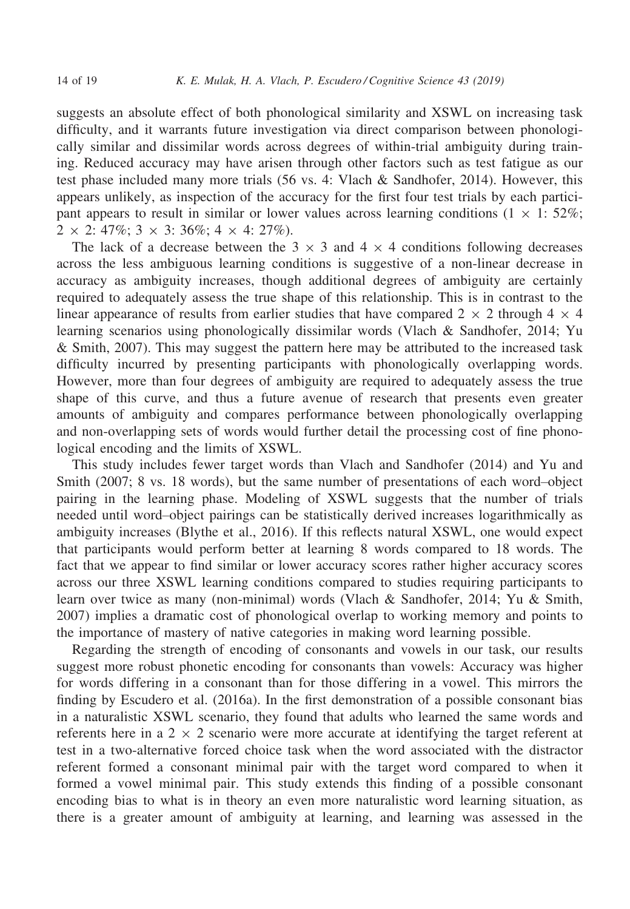suggests an absolute effect of both phonological similarity and XSWL on increasing task difficulty, and it warrants future investigation via direct comparison between phonologically similar and dissimilar words across degrees of within-trial ambiguity during training. Reduced accuracy may have arisen through other factors such as test fatigue as our test phase included many more trials (56 vs. 4: Vlach & Sandhofer, 2014). However, this appears unlikely, as inspection of the accuracy for the first four test trials by each participant appears to result in similar or lower values across learning conditions ( $1 \times 1$ : 52%;  $2 \times 2$ : 47%;  $3 \times 3$ : 36%;  $4 \times 4$ : 27%).

The lack of a decrease between the  $3 \times 3$  and  $4 \times 4$  conditions following decreases across the less ambiguous learning conditions is suggestive of a non-linear decrease in accuracy as ambiguity increases, though additional degrees of ambiguity are certainly required to adequately assess the true shape of this relationship. This is in contrast to the linear appearance of results from earlier studies that have compared  $2 \times 2$  through  $4 \times 4$ learning scenarios using phonologically dissimilar words (Vlach & Sandhofer, 2014; Yu & Smith, 2007). This may suggest the pattern here may be attributed to the increased task difficulty incurred by presenting participants with phonologically overlapping words. However, more than four degrees of ambiguity are required to adequately assess the true shape of this curve, and thus a future avenue of research that presents even greater amounts of ambiguity and compares performance between phonologically overlapping and non-overlapping sets of words would further detail the processing cost of fine phonological encoding and the limits of XSWL.

This study includes fewer target words than Vlach and Sandhofer (2014) and Yu and Smith (2007; 8 vs. 18 words), but the same number of presentations of each word–object pairing in the learning phase. Modeling of XSWL suggests that the number of trials needed until word–object pairings can be statistically derived increases logarithmically as ambiguity increases (Blythe et al., 2016). If this reflects natural XSWL, one would expect that participants would perform better at learning 8 words compared to 18 words. The fact that we appear to find similar or lower accuracy scores rather higher accuracy scores across our three XSWL learning conditions compared to studies requiring participants to learn over twice as many (non-minimal) words (Vlach & Sandhofer, 2014; Yu & Smith, 2007) implies a dramatic cost of phonological overlap to working memory and points to the importance of mastery of native categories in making word learning possible.

Regarding the strength of encoding of consonants and vowels in our task, our results suggest more robust phonetic encoding for consonants than vowels: Accuracy was higher for words differing in a consonant than for those differing in a vowel. This mirrors the finding by Escudero et al. (2016a). In the first demonstration of a possible consonant bias in a naturalistic XSWL scenario, they found that adults who learned the same words and referents here in a  $2 \times 2$  scenario were more accurate at identifying the target referent at test in a two-alternative forced choice task when the word associated with the distractor referent formed a consonant minimal pair with the target word compared to when it formed a vowel minimal pair. This study extends this finding of a possible consonant encoding bias to what is in theory an even more naturalistic word learning situation, as there is a greater amount of ambiguity at learning, and learning was assessed in the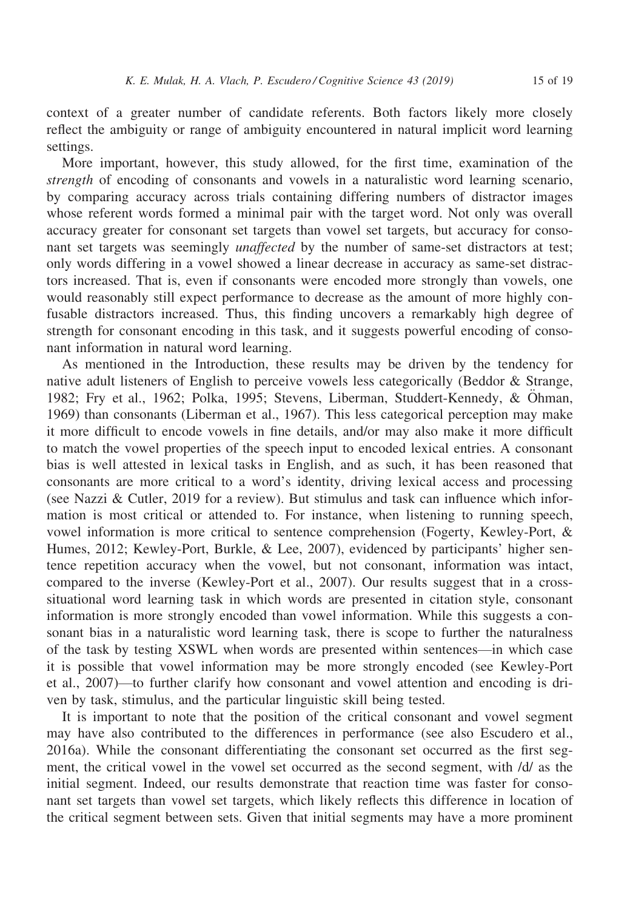context of a greater number of candidate referents. Both factors likely more closely reflect the ambiguity or range of ambiguity encountered in natural implicit word learning settings.

More important, however, this study allowed, for the first time, examination of the strength of encoding of consonants and vowels in a naturalistic word learning scenario, by comparing accuracy across trials containing differing numbers of distractor images whose referent words formed a minimal pair with the target word. Not only was overall accuracy greater for consonant set targets than vowel set targets, but accuracy for consonant set targets was seemingly unaffected by the number of same-set distractors at test; only words differing in a vowel showed a linear decrease in accuracy as same-set distractors increased. That is, even if consonants were encoded more strongly than vowels, one would reasonably still expect performance to decrease as the amount of more highly confusable distractors increased. Thus, this finding uncovers a remarkably high degree of strength for consonant encoding in this task, and it suggests powerful encoding of consonant information in natural word learning.

As mentioned in the Introduction, these results may be driven by the tendency for native adult listeners of English to perceive vowels less categorically (Beddor & Strange, 1982; Fry et al., 1962; Polka, 1995; Stevens, Liberman, Studdert-Kennedy, & Öhman, 1969) than consonants (Liberman et al., 1967). This less categorical perception may make it more difficult to encode vowels in fine details, and/or may also make it more difficult to match the vowel properties of the speech input to encoded lexical entries. A consonant bias is well attested in lexical tasks in English, and as such, it has been reasoned that consonants are more critical to a word's identity, driving lexical access and processing (see Nazzi & Cutler, 2019 for a review). But stimulus and task can influence which information is most critical or attended to. For instance, when listening to running speech, vowel information is more critical to sentence comprehension (Fogerty, Kewley-Port, & Humes, 2012; Kewley-Port, Burkle, & Lee, 2007), evidenced by participants' higher sentence repetition accuracy when the vowel, but not consonant, information was intact, compared to the inverse (Kewley-Port et al., 2007). Our results suggest that in a crosssituational word learning task in which words are presented in citation style, consonant information is more strongly encoded than vowel information. While this suggests a consonant bias in a naturalistic word learning task, there is scope to further the naturalness of the task by testing XSWL when words are presented within sentences—in which case it is possible that vowel information may be more strongly encoded (see Kewley-Port et al., 2007)—to further clarify how consonant and vowel attention and encoding is driven by task, stimulus, and the particular linguistic skill being tested.

It is important to note that the position of the critical consonant and vowel segment may have also contributed to the differences in performance (see also Escudero et al., 2016a). While the consonant differentiating the consonant set occurred as the first segment, the critical vowel in the vowel set occurred as the second segment, with /d/ as the initial segment. Indeed, our results demonstrate that reaction time was faster for consonant set targets than vowel set targets, which likely reflects this difference in location of the critical segment between sets. Given that initial segments may have a more prominent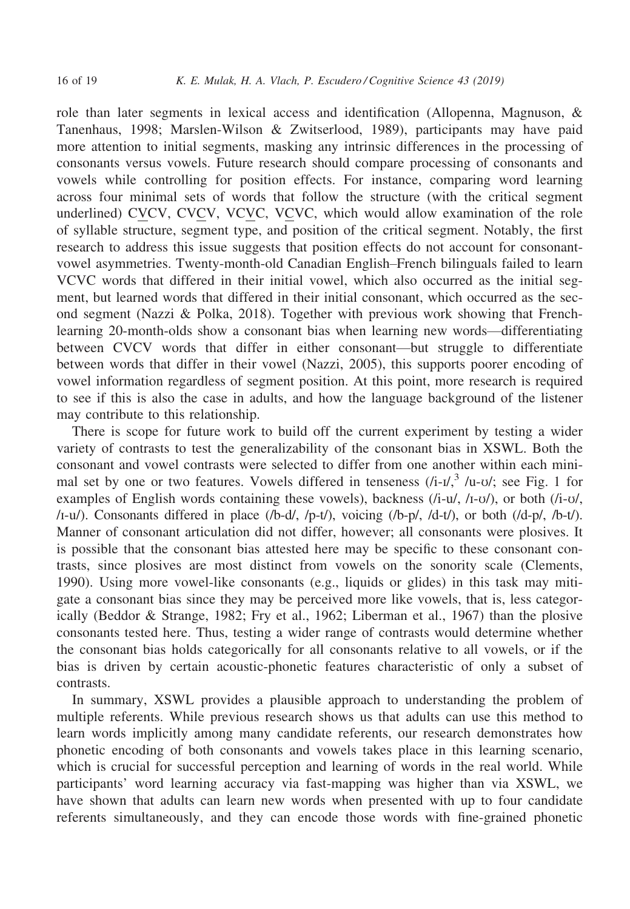role than later segments in lexical access and identification (Allopenna, Magnuson, & Tanenhaus, 1998; Marslen-Wilson & Zwitserlood, 1989), participants may have paid more attention to initial segments, masking any intrinsic differences in the processing of consonants versus vowels. Future research should compare processing of consonants and vowels while controlling for position effects. For instance, comparing word learning across four minimal sets of words that follow the structure (with the critical segment underlined) CVCV, CVCV, VCVC, VCVC, which would allow examination of the role of syllable structure, segment type, and position of the critical segment. Notably, the first research to address this issue suggests that position effects do not account for consonantvowel asymmetries. Twenty-month-old Canadian English–French bilinguals failed to learn VCVC words that differed in their initial vowel, which also occurred as the initial segment, but learned words that differed in their initial consonant, which occurred as the second segment (Nazzi & Polka, 2018). Together with previous work showing that Frenchlearning 20-month-olds show a consonant bias when learning new words—differentiating between CVCV words that differ in either consonant—but struggle to differentiate between words that differ in their vowel (Nazzi, 2005), this supports poorer encoding of vowel information regardless of segment position. At this point, more research is required to see if this is also the case in adults, and how the language background of the listener may contribute to this relationship.

There is scope for future work to build off the current experiment by testing a wider variety of contrasts to test the generalizability of the consonant bias in XSWL. Both the consonant and vowel contrasts were selected to differ from one another within each minimal set by one or two features. Vowels differed in tenseness  $(i-1)$ ,  $(i-1)$ , see Fig. 1 for examples of English words containing these vowels), backness  $(i-u, I<sub>I</sub> - v<sub>I</sub>)$ , or both  $(i-u, I<sub>I</sub> - v<sub>I</sub>)$  $I-u$ ). Consonants differed in place (/b-d/, /p-t/), voicing (/b-p/, /d-t/), or both (/d-p/, /b-t/). Manner of consonant articulation did not differ, however; all consonants were plosives. It is possible that the consonant bias attested here may be specific to these consonant contrasts, since plosives are most distinct from vowels on the sonority scale (Clements, 1990). Using more vowel-like consonants (e.g., liquids or glides) in this task may mitigate a consonant bias since they may be perceived more like vowels, that is, less categorically (Beddor & Strange, 1982; Fry et al., 1962; Liberman et al., 1967) than the plosive consonants tested here. Thus, testing a wider range of contrasts would determine whether the consonant bias holds categorically for all consonants relative to all vowels, or if the bias is driven by certain acoustic-phonetic features characteristic of only a subset of contrasts.

In summary, XSWL provides a plausible approach to understanding the problem of multiple referents. While previous research shows us that adults can use this method to learn words implicitly among many candidate referents, our research demonstrates how phonetic encoding of both consonants and vowels takes place in this learning scenario, which is crucial for successful perception and learning of words in the real world. While participants' word learning accuracy via fast-mapping was higher than via XSWL, we have shown that adults can learn new words when presented with up to four candidate referents simultaneously, and they can encode those words with fine-grained phonetic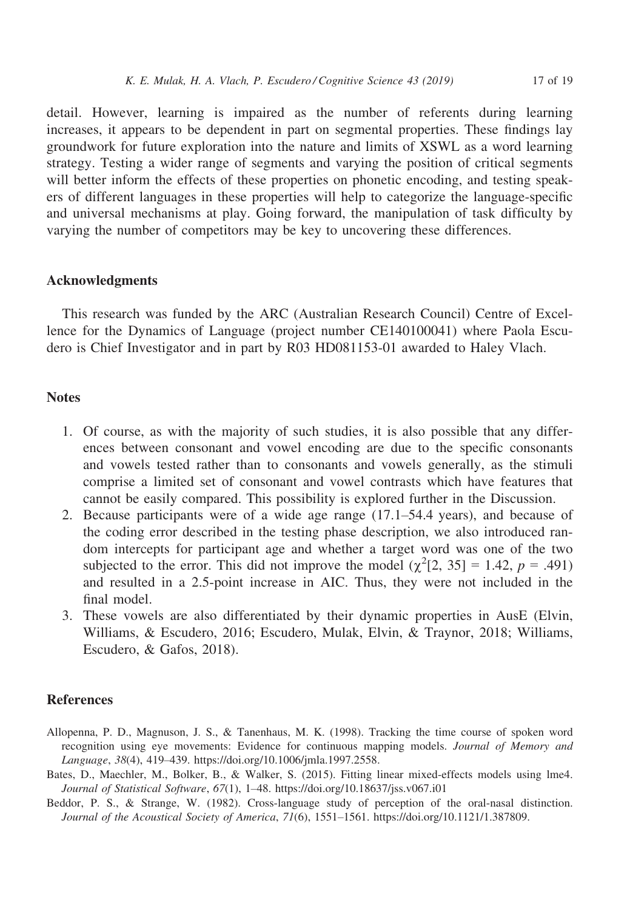detail. However, learning is impaired as the number of referents during learning increases, it appears to be dependent in part on segmental properties. These findings lay groundwork for future exploration into the nature and limits of XSWL as a word learning strategy. Testing a wider range of segments and varying the position of critical segments will better inform the effects of these properties on phonetic encoding, and testing speakers of different languages in these properties will help to categorize the language-specific and universal mechanisms at play. Going forward, the manipulation of task difficulty by varying the number of competitors may be key to uncovering these differences.

## Acknowledgments

This research was funded by the ARC (Australian Research Council) Centre of Excellence for the Dynamics of Language (project number CE140100041) where Paola Escudero is Chief Investigator and in part by R03 HD081153-01 awarded to Haley Vlach.

#### **Notes**

- 1. Of course, as with the majority of such studies, it is also possible that any differences between consonant and vowel encoding are due to the specific consonants and vowels tested rather than to consonants and vowels generally, as the stimuli comprise a limited set of consonant and vowel contrasts which have features that cannot be easily compared. This possibility is explored further in the Discussion.
- 2. Because participants were of a wide age range (17.1–54.4 years), and because of the coding error described in the testing phase description, we also introduced random intercepts for participant age and whether a target word was one of the two subjected to the error. This did not improve the model  $(\chi^2[2, 35] = 1.42, p = .491)$ and resulted in a 2.5-point increase in AIC. Thus, they were not included in the final model.
- 3. These vowels are also differentiated by their dynamic properties in AusE (Elvin, Williams, & Escudero, 2016; Escudero, Mulak, Elvin, & Traynor, 2018; Williams, Escudero, & Gafos, 2018).

#### References

- Allopenna, P. D., Magnuson, J. S., & Tanenhaus, M. K. (1998). Tracking the time course of spoken word recognition using eye movements: Evidence for continuous mapping models. Journal of Memory and Language, 38(4), 419–439.<https://doi.org/10.1006/jmla.1997.2558>.
- Bates, D., Maechler, M., Bolker, B., & Walker, S. (2015). Fitting linear mixed-effects models using lme4. Journal of Statistical Software, 67(1), 1–48.<https://doi.org/10.18637/jss.v067.i01>
- Beddor, P. S., & Strange, W. (1982). Cross-language study of perception of the oral-nasal distinction. Journal of the Acoustical Society of America, 71(6), 1551–1561. [https://doi.org/10.1121/1.387809.](https://doi.org/10.1121/1.387809)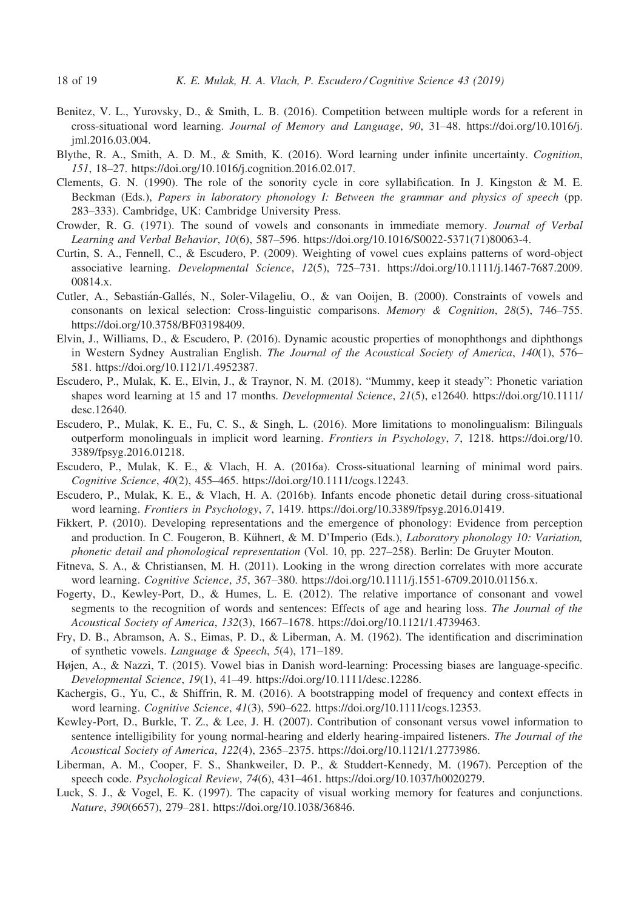- Benitez, V. L., Yurovsky, D., & Smith, L. B. (2016). Competition between multiple words for a referent in cross-situational word learning. Journal of Memory and Language, 90, 31–48. [https://doi.org/10.1016/j.](https://doi.org/10.1016/j.jml.2016.03.004) [jml.2016.03.004](https://doi.org/10.1016/j.jml.2016.03.004).
- Blythe, R. A., Smith, A. D. M., & Smith, K. (2016). Word learning under infinite uncertainty. Cognition, 151, 18–27.<https://doi.org/10.1016/j.cognition.2016.02.017>.
- Clements, G. N. (1990). The role of the sonority cycle in core syllabification. In J. Kingston & M. E. Beckman (Eds.), Papers in laboratory phonology I: Between the grammar and physics of speech (pp. 283–333). Cambridge, UK: Cambridge University Press.
- Crowder, R. G. (1971). The sound of vowels and consonants in immediate memory. Journal of Verbal Learning and Verbal Behavior, 10(6), 587–596. [https://doi.org/10.1016/S0022-5371\(71\)80063-4.](https://doi.org/10.1016/S0022-5371(71)80063-4)
- Curtin, S. A., Fennell, C., & Escudero, P. (2009). Weighting of vowel cues explains patterns of word-object associative learning. Developmental Science, 12(5), 725–731. [https://doi.org/10.1111/j.1467-7687.2009.](https://doi.org/10.1111/j.1467-7687.2009.00814.x) [00814.x](https://doi.org/10.1111/j.1467-7687.2009.00814.x).
- Cutler, A., Sebastian-Galles, N., Soler-Vilageliu, O., & van Ooijen, B. (2000). Constraints of vowels and consonants on lexical selection: Cross-linguistic comparisons. Memory & Cognition, 28(5), 746–755. [https://doi.org/10.3758/BF03198409.](https://doi.org/10.3758/BF03198409)
- Elvin, J., Williams, D., & Escudero, P. (2016). Dynamic acoustic properties of monophthongs and diphthongs in Western Sydney Australian English. The Journal of the Acoustical Society of America, 140(1), 576– 581. [https://doi.org/10.1121/1.4952387.](https://doi.org/10.1121/1.4952387)
- Escudero, P., Mulak, K. E., Elvin, J., & Traynor, N. M. (2018). "Mummy, keep it steady": Phonetic variation shapes word learning at 15 and 17 months. Developmental Science, 21(5), e12640. [https://doi.org/10.1111/](https://doi.org/10.1111/desc.12640) [desc.12640.](https://doi.org/10.1111/desc.12640)
- Escudero, P., Mulak, K. E., Fu, C. S., & Singh, L. (2016). More limitations to monolingualism: Bilinguals outperform monolinguals in implicit word learning. Frontiers in Psychology, 7, 1218. [https://doi.org/10.](https://doi.org/10.3389/fpsyg.2016.01218) [3389/fpsyg.2016.01218](https://doi.org/10.3389/fpsyg.2016.01218).
- Escudero, P., Mulak, K. E., & Vlach, H. A. (2016a). Cross-situational learning of minimal word pairs. Cognitive Science, 40(2), 455–465.<https://doi.org/10.1111/cogs.12243>.
- Escudero, P., Mulak, K. E., & Vlach, H. A. (2016b). Infants encode phonetic detail during cross-situational word learning. Frontiers in Psychology, 7, 1419.<https://doi.org/10.3389/fpsyg.2016.01419>.
- Fikkert, P. (2010). Developing representations and the emergence of phonology: Evidence from perception and production. In C. Fougeron, B. Kühnert, & M. D'Imperio (Eds.), Laboratory phonology 10: Variation, phonetic detail and phonological representation (Vol. 10, pp. 227–258). Berlin: De Gruyter Mouton.
- Fitneva, S. A., & Christiansen, M. H. (2011). Looking in the wrong direction correlates with more accurate word learning. Cognitive Science, 35, 367–380. [https://doi.org/10.1111/j.1551-6709.2010.01156.x.](https://doi.org/10.1111/j.1551-6709.2010.01156.x)
- Fogerty, D., Kewley-Port, D., & Humes, L. E. (2012). The relative importance of consonant and vowel segments to the recognition of words and sentences: Effects of age and hearing loss. The Journal of the Acoustical Society of America, 132(3), 1667–1678. [https://doi.org/10.1121/1.4739463.](https://doi.org/10.1121/1.4739463)
- Fry, D. B., Abramson, A. S., Eimas, P. D., & Liberman, A. M. (1962). The identification and discrimination of synthetic vowels. Language & Speech, 5(4), 171–189.
- Højen, A., & Nazzi, T. (2015). Vowel bias in Danish word-learning: Processing biases are language-specific. Developmental Science, 19(1), 41–49.<https://doi.org/10.1111/desc.12286>.
- Kachergis, G., Yu, C., & Shiffrin, R. M. (2016). A bootstrapping model of frequency and context effects in word learning. Cognitive Science, 41(3), 590–622.<https://doi.org/10.1111/cogs.12353>.
- Kewley-Port, D., Burkle, T. Z., & Lee, J. H. (2007). Contribution of consonant versus vowel information to sentence intelligibility for young normal-hearing and elderly hearing-impaired listeners. The Journal of the Acoustical Society of America, 122(4), 2365–2375. [https://doi.org/10.1121/1.2773986.](https://doi.org/10.1121/1.2773986)
- Liberman, A. M., Cooper, F. S., Shankweiler, D. P., & Studdert-Kennedy, M. (1967). Perception of the speech code. Psychological Review, 74(6), 431–461.<https://doi.org/10.1037/h0020279>.
- Luck, S. J., & Vogel, E. K. (1997). The capacity of visual working memory for features and conjunctions. Nature, 390(6657), 279–281. [https://doi.org/10.1038/36846.](https://doi.org/10.1038/36846)